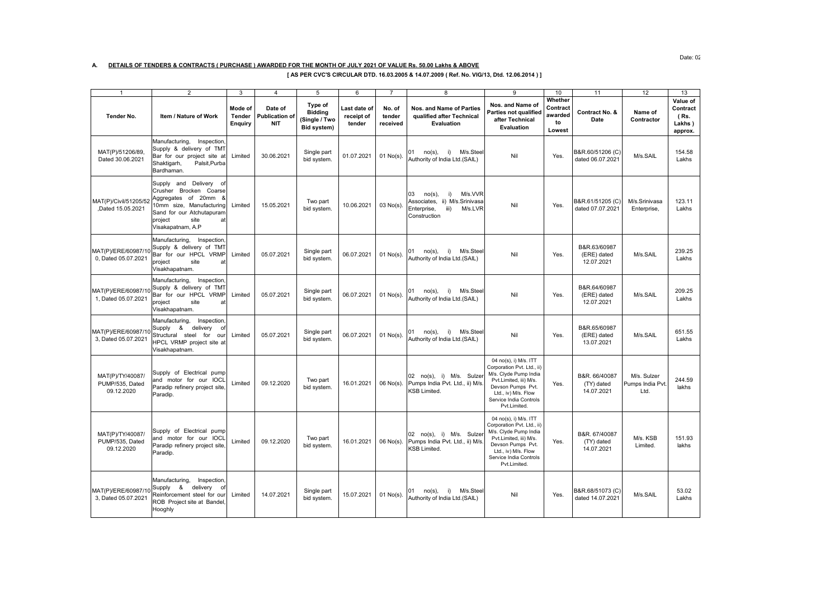## **A. DETAILS OF TENDERS & CONTRACTS ( PURCHASE ) AWARDED FOR THE MONTH OF JULY 2021 OF VALUE Rs. 50.00 Lakhs & ABOVE**

**[ AS PER CVC'S CIRCULAR DTD. 16.03.2005 & 14.07.2009 ( Ref. No. VIG/13, Dtd. 12.06.2014 ) ]**

|                                                   | $\overline{2}$                                                                                                                                                                  | 3                                          | $\overline{4}$                                 | 5                                                         | 6                                    | $\overline{7}$               | $\overline{8}$                                                                                                      | 9                                                                                                                                                                                            | 10                                             | 11                                        | 12                                      | 13                                                |
|---------------------------------------------------|---------------------------------------------------------------------------------------------------------------------------------------------------------------------------------|--------------------------------------------|------------------------------------------------|-----------------------------------------------------------|--------------------------------------|------------------------------|---------------------------------------------------------------------------------------------------------------------|----------------------------------------------------------------------------------------------------------------------------------------------------------------------------------------------|------------------------------------------------|-------------------------------------------|-----------------------------------------|---------------------------------------------------|
| Tender No.                                        | Item / Nature of Work                                                                                                                                                           | Mode of<br><b>Tender</b><br><b>Enquiry</b> | Date of<br><b>Publication of</b><br><b>NIT</b> | Type of<br><b>Bidding</b><br>(Single / Two<br>Bid system) | Last date of<br>receipt of<br>tender | No. of<br>tender<br>received | Nos. and Name of Parties<br>qualified after Technical<br>Evaluation                                                 | Nos. and Name of<br>Parties not qualified<br>after Technical<br>Evaluation                                                                                                                   | Whether<br>Contract<br>awarded<br>to<br>Lowest | Contract No. &<br>Date                    | Name of<br>Contractor                   | Value of<br>Contract<br>(Rs.<br>Lakhs)<br>approx. |
| MAT(P)/51206/89,<br>Dated 30.06.2021              | Manufacturing,<br>Inspection<br>Supply & delivery of TMT<br>Bar for our project site at<br>Shaktigarh,<br>Palsit, Purba<br>Bardhaman.                                           | Limited                                    | 30.06.2021                                     | Single part<br>bid system.                                | 01.07.2021                           | 01 No(s).                    | $no(s)$ ,<br>i)<br>M/s.Stee<br>01<br>Authority of India Ltd.(SAIL)                                                  | Nil                                                                                                                                                                                          | Yes.                                           | B&R.60/51206 (C)<br>dated 06.07.2021      | M/s.SAIL                                | 154.58<br>Lakhs                                   |
| MAT(P)/Civil/51205/52<br>Dated 15.05.2021         | Supply and Delivery of<br>Crusher Brocken Coarse<br>Aggregates of 20mm &<br>10mm size, Manufacturing<br>Sand for our Atchutapuram<br>site<br>project<br>at<br>Visakapatnam, A.P | Limited                                    | 15.05.2021                                     | Two part<br>bid system.                                   | 10.06.2021                           | $03$ No(s).                  | M/s.VVR<br>03<br>$no(s)$ ,<br>i)<br>Associates, ii) M/s.Srinivasa<br>iii)<br>M/s.LVR<br>Enterprise,<br>Construction | Nil                                                                                                                                                                                          | Yes.                                           | B&R.61/51205 (C)<br>dated 07.07.2021      | M/s.Srinivasa<br>Enterprise,            | 123.11<br>Lakhs                                   |
| MAT(P)/ERE/60987/10<br>0. Dated 05.07.2021        | Manufacturing,<br>Inspection<br>Supply & delivery of TMT<br>Bar for our HPCL VRMP<br>project<br>site<br>at<br>Visakhapatnam.                                                    | Limited                                    | 05.07.2021                                     | Single part<br>bid system.                                | 06.07.2021                           | 01 No(s).                    | M/s.Stee<br>01<br>$no(s)$ ,<br>i)<br>Authority of India Ltd.(SAIL)                                                  | Nil                                                                                                                                                                                          | Yes.                                           | B&R.63/60987<br>(ERE) dated<br>12.07.2021 | M/s.SAIL                                | 239.25<br>Lakhs                                   |
| MAT(P)/ERE/60987/10<br>1, Dated 05.07.2021        | Manufacturing,<br>Inspection<br>Supply & delivery of TMT<br>Bar for our HPCL VRMP<br>project<br>site<br>at<br>Visakhapatnam.                                                    | Limited                                    | 05.07.2021                                     | Single part<br>bid system.                                | 06.07.2021                           | 01 No(s).                    | i)<br>M/s.Stee<br>01<br>no(s)<br>Authority of India Ltd.(SAIL)                                                      | Nil                                                                                                                                                                                          | Yes.                                           | B&R.64/60987<br>(ERE) dated<br>12.07.2021 | M/s.SAIL                                | 209.25<br>Lakhs                                   |
| MAT(P)/ERE/60987/10<br>3, Dated 05.07.2021        | Manufacturing,<br>Inspection.<br>Supply & delivery<br>o1<br>Structural steel for our<br>HPCL VRMP project site at<br>Visakhapatnam.                                             | Limited                                    | 05.07.2021                                     | Single part<br>bid system.                                | 06.07.2021                           | $01$ No(s).                  | M/s.Stee<br>01<br>no(s),<br>i)<br>Authority of India Ltd.(SAIL)                                                     | Nil                                                                                                                                                                                          | Yes.                                           | B&R.65/60987<br>(ERE) dated<br>13.07.2021 | M/s.SAIL                                | 651.55<br>Lakhs                                   |
| MAT(P)/TY/40087/<br>PUMP/535, Dated<br>09.12.2020 | Supply of Electrical pump<br>and motor for our IOCL<br>Paradip refinery project site<br>Paradip.                                                                                | Limited                                    | 09.12.2020                                     | Two part<br>bid system.                                   | 16.01.2021                           | $06$ No(s).                  | 02 no(s), i) M/s. Sulzer<br>Pumps India Pvt. Ltd., ii) M/s<br>KSB Limited.                                          | 04 no(s), i) M/s. ITT<br>Corporation Pvt. Ltd., ii)<br>M/s. Clyde Pump India<br>Pvt.Limited, iii) M/s.<br>Devson Pumps Pvt.<br>Ltd., iv) M/s. Flow<br>Service India Controls<br>Pvt.Limited. | Yes.                                           | B&R. 66/40087<br>(TY) dated<br>14.07.2021 | M/s. Sulzer<br>Pumps India Pvt.<br>Ltd. | 244.59<br>lakhs                                   |
| MAT(P)/TY/40087/<br>PUMP/535, Dated<br>09.12.2020 | Supply of Electrical pump<br>and motor for our IOCL<br>Paradip refinery project site<br>Paradip.                                                                                | Limited                                    | 09.12.2020                                     | Two part<br>bid system.                                   | 16.01.2021                           | $06$ No(s).                  | 02 no(s), i) M/s. Sulzer<br>Pumps India Pvt. Ltd., ii) M/s.<br><b>KSB Limited.</b>                                  | 04 no(s), i) M/s. ITT<br>Corporation Pvt. Ltd., ii)<br>M/s. Clyde Pump India<br>Pvt.Limited, iii) M/s.<br>Devson Pumps Pvt.<br>Ltd., iv) M/s. Flow<br>Service India Controls<br>Pvt.Limited. | Yes.                                           | B&R. 67/40087<br>(TY) dated<br>14.07.2021 | M/s. KSB<br>Limited.                    | 151.93<br>lakhs                                   |
| MAT(P)/ERE/60987/10<br>3. Dated 05.07.2021        | Manufacturing, Inspection,<br>Supply & delivery<br>of<br>Reinforcement steel for our<br>ROB Project site at Bandel,<br>Hooghly                                                  | Limited                                    | 14.07.2021                                     | Single part<br>bid system.                                | 15.07.2021                           | 01 No(s).                    | M/s.Stee<br>01<br>$no(s)$ ,<br>i)<br>Authority of India Ltd.(SAIL)                                                  | Nil                                                                                                                                                                                          | Yes.                                           | B&R.68/51073 (C)<br>dated 14.07.2021      | M/s.SAIL                                | 53.02<br>Lakhs                                    |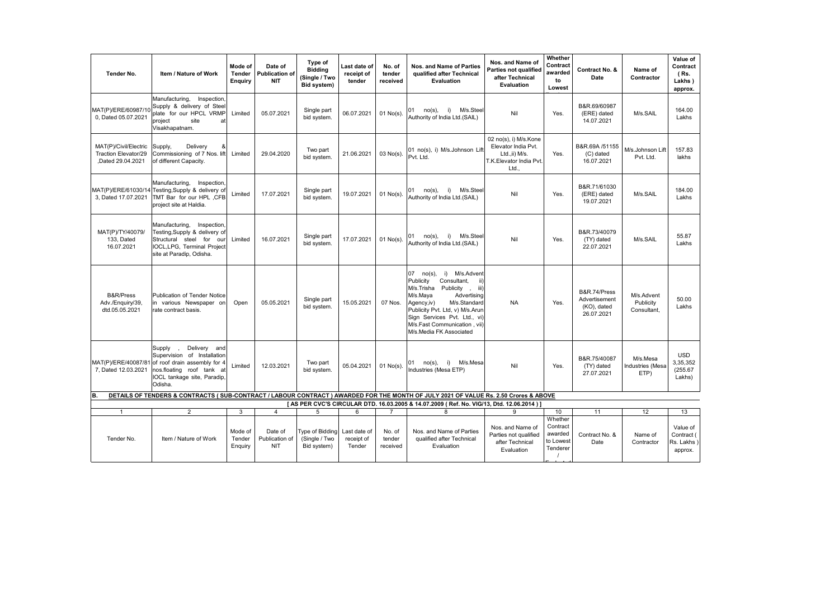| Tender No.                                                        | Item / Nature of Work                                                                                                                                                                                                           | Mode of<br>Tender<br>Enquiry | Date of<br><b>Publication of</b><br><b>NIT</b> | Type of<br><b>Bidding</b><br>(Single / Two<br>Bid system) | Last date of<br>receipt of<br>tender | No. of<br>tender<br>received | Nos. and Name of Parties<br>qualified after Technical<br>Evaluation                                                                                                                                                                                                                 | Nos. and Name of<br>Parties not qualified<br>after Technical<br>Evaluation                      | Whether<br>Contract<br>awarded<br>to<br>Lowest          | Contract No. &<br>Date                                     | Name of<br>Contractor                  | Value of<br>Contract<br>(Rs.<br>Lakhs)<br>approx. |
|-------------------------------------------------------------------|---------------------------------------------------------------------------------------------------------------------------------------------------------------------------------------------------------------------------------|------------------------------|------------------------------------------------|-----------------------------------------------------------|--------------------------------------|------------------------------|-------------------------------------------------------------------------------------------------------------------------------------------------------------------------------------------------------------------------------------------------------------------------------------|-------------------------------------------------------------------------------------------------|---------------------------------------------------------|------------------------------------------------------------|----------------------------------------|---------------------------------------------------|
| MAT(P)/ERE/60987/10<br>0. Dated 05.07.2021                        | Inspection,<br>Manufacturing,<br>Supply & delivery of Steel<br>plate for our HPCL VRMP<br>project<br>site<br>at<br>Visakhapatnam.                                                                                               | Limited                      | 05.07.2021                                     | Single part<br>bid system.                                | 06.07.2021                           | $01$ No(s)                   | no(s),<br>i)<br>M/s.Stee<br>01<br>Authority of India Ltd.(SAIL)                                                                                                                                                                                                                     | Nil                                                                                             | Yes.                                                    | B&R.69/60987<br>(ERE) dated<br>14.07.2021                  | M/s.SAIL                               | 164.00<br>Lakhs                                   |
| MAT(P)/Civil/Electric<br>Traction Elevator/29<br>Dated 29.04.2021 | Supply,<br>Delivery<br>ጼ<br>Commissioning of 7 Nos. lift<br>of different Capacity.                                                                                                                                              | Limited                      | 29.04.2020                                     | Two part<br>bid system.                                   | 21.06.2021                           | $03$ No(s)                   | 01 no(s), i) M/s.Johnson Lif<br>Pvt. Ltd.                                                                                                                                                                                                                                           | 02 no(s), i) M/s.Kone<br>Elevator India Pvt.<br>Ltd.,ii) M/s.<br>T.K.Elevator India Pvt.<br>Ltd | Yes.                                                    | B&R.69A /51155<br>(C) dated<br>16.07.2021                  | M/s.Johnson Lift<br>Pvt. Ltd.          | 157.83<br>lakhs                                   |
| MAT(P)/ERE/61030/14<br>3, Dated 17.07.2021                        | Manufacturing, Inspection,<br>Testing, Supply & delivery of<br>TMT Bar for our HPL ,CFB<br>project site at Haldia.                                                                                                              | Limited                      | 17.07.2021                                     | Single part<br>bid system.                                | 19.07.2021                           | $01$ No(s).                  | M/s.Steel<br>01<br>no(s),<br>i)<br>Authority of India Ltd.(SAIL)                                                                                                                                                                                                                    | Nil                                                                                             | Yes.                                                    | B&R.71/61030<br>(ERE) dated<br>19.07.2021                  | M/s.SAIL                               | 184.00<br>Lakhs                                   |
| MAT(P)/TY/40079/<br>133, Dated<br>16.07.2021                      | Manufacturing,<br>Inspection,<br>Testing, Supply & delivery of<br>Structural steel for<br>our<br>IOCL, LPG, Terminal Project<br>site at Paradip, Odisha.                                                                        | Limited                      | 16.07.2021                                     | Single part<br>bid system.                                | 17.07.2021                           | $01$ No(s)                   | 01 no(s),<br>i)<br>M/s.Steel<br>Authority of India Ltd.(SAIL)                                                                                                                                                                                                                       | Nil                                                                                             | Yes.                                                    | B&R.73/40079<br>(TY) dated<br>22.07.2021                   | M/s.SAIL                               | 55.87<br>Lakhs                                    |
| B&R/Press<br>Adv./Enquiry/39,<br>dtd.05.05.2021                   | <b>Publication of Tender Notice</b><br>in various Newspaper on<br>rate contract basis.                                                                                                                                          | Open                         | 05.05.2021                                     | Single part<br>bid system.                                | 15.05.2021                           | 07 Nos.                      | 07<br>$no(s)$ ,<br>i) M/s.Advent<br>Publicity<br>Consultant,<br>M/s.Trisha Publicity<br>iii)<br>M/s.Maya<br>Advertising<br>M/s.Standard<br>Agency, iv)<br>Publicity Pvt. Ltd, v) M/s.Arur<br>Sign Services Pvt. Ltd., vi<br>M/s.Fast Communication, vii)<br>M/s.Media FK Associated | <b>NA</b>                                                                                       | Yes.                                                    | B&R.74/Press<br>Advertisement<br>(KO), dated<br>26.07.2021 | M/s.Advent<br>Publicity<br>Consultant, | 50.00<br>Lakhs                                    |
| MAT(P)/ERE/40087/81<br>7, Dated 12.03.2021                        | Delivery and<br>Supply<br>Supervision of Installation<br>of roof drain assembly for 4<br>nos.floating roof tank at<br>IOCL tankage site, Paradip,<br>Odisha.                                                                    | Limited                      | 12.03.2021                                     | Two part<br>bid system.                                   | 05.04.2021                           | $01$ No(s)                   | 01 no(s),<br>i)<br>M/s.Mesa<br>Industries (Mesa ETP)                                                                                                                                                                                                                                | Nil                                                                                             | Yes.                                                    | B&R.75/40087<br>(TY) dated<br>27.07.2021                   | M/s.Mesa<br>Industries (Mesa<br>ETP)   | <b>USD</b><br>3,35,352<br>(255.67)<br>Lakhs)      |
|                                                                   | DETAILS OF TENDERS & CONTRACTS (SUB-CONTRACT / LABOUR CONTRACT) AWARDED FOR THE MONTH OF JULY 2021 OF VALUE Rs. 2.50 Crores & ABOVE<br>[AS PER CVC'S CIRCULAR DTD. 16.03.2005 & 14.07.2009 (Ref. No. VIG/13, Dtd. 12.06.2014) ] |                              |                                                |                                                           |                                      |                              |                                                                                                                                                                                                                                                                                     |                                                                                                 |                                                         |                                                            |                                        |                                                   |
| $\overline{1}$                                                    | $\overline{2}$                                                                                                                                                                                                                  | 3                            | $\overline{4}$                                 | 5                                                         | 6                                    | $\overline{7}$               | $\mathsf{R}$                                                                                                                                                                                                                                                                        | 9                                                                                               | 10                                                      | 11                                                         | 12                                     | 13                                                |
| Tender No.                                                        | Item / Nature of Work                                                                                                                                                                                                           | Mode of<br>Tender<br>Enquiry | Date of<br>Publication of<br><b>NIT</b>        | Type of Bidding<br>(Single / Two<br>Bid system)           | Last date of<br>receipt of<br>Tender | No. of<br>tender<br>received | Nos. and Name of Parties<br>qualified after Technical<br>Evaluation                                                                                                                                                                                                                 | Nos. and Name of<br>Parties not qualified<br>after Technical<br>Evaluation                      | Whether<br>Contract<br>awarded<br>to Lowest<br>Tenderer | Contract No. &<br>Date                                     | Name of<br>Contractor                  | Value of<br>Contract (<br>Rs. Lakhs<br>approx.    |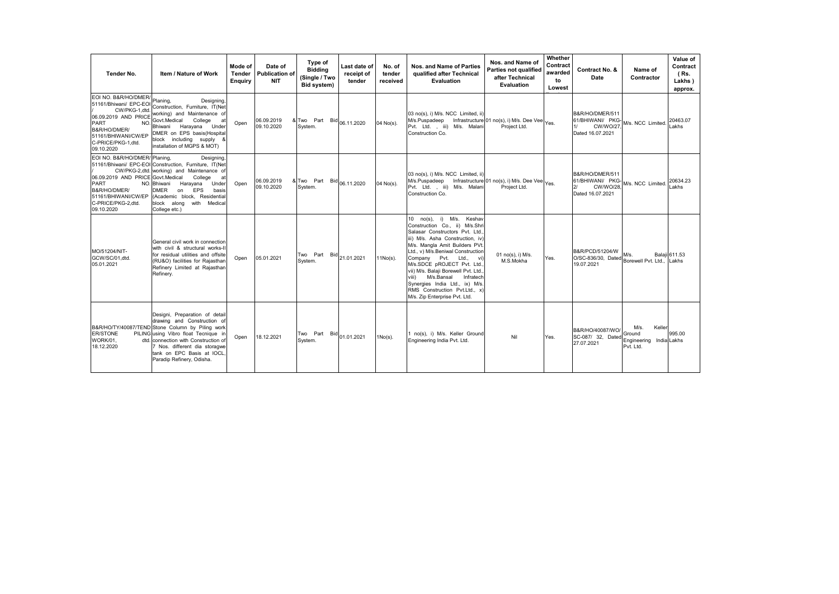| Tender No.                                                                                                                                                                       | Item / Nature of Work                                                                                                                                                                                                                                                                       | Mode of<br><b>Tender</b><br><b>Enquiry</b> | Date of<br><b>Publication of</b><br><b>NIT</b> | Type of<br><b>Bidding</b><br>(Single / Two<br>Bid system) | Last date of<br>receipt of<br>tender | No. of<br>tender<br>received | Nos. and Name of Parties<br>qualified after Technical<br>Evaluation                                                                                                                                                                                                                                                                                                                                                                            | Nos. and Name of<br>Parties not qualified<br>after Technical<br><b>Evaluation</b> | Whether<br>Contract<br>awarded<br>to<br>Lowest | Contract No. &<br>Date                                                     | Name of<br>Contractor                                            | Value of<br>Contract<br>(Rs.<br>Lakhs)<br>approx. |
|----------------------------------------------------------------------------------------------------------------------------------------------------------------------------------|---------------------------------------------------------------------------------------------------------------------------------------------------------------------------------------------------------------------------------------------------------------------------------------------|--------------------------------------------|------------------------------------------------|-----------------------------------------------------------|--------------------------------------|------------------------------|------------------------------------------------------------------------------------------------------------------------------------------------------------------------------------------------------------------------------------------------------------------------------------------------------------------------------------------------------------------------------------------------------------------------------------------------|-----------------------------------------------------------------------------------|------------------------------------------------|----------------------------------------------------------------------------|------------------------------------------------------------------|---------------------------------------------------|
| EOI NO. B&R/HO/DMER/<br>51161/Bhiwani/ EPC-EOI<br>CW/PKG-1.dtd<br>06.09.2019 AND PRICE<br>PART<br>NO.<br>B&R/HO/DMER/<br>51161/BHIWANI/CW/EP<br>C-PRICE/PKG-1.dtd.<br>09.10.2020 | Designing.<br>Planing,<br>Construction, Furniture, IT(Net<br>working) and Maintenance of<br>Govt.Medical<br>College<br>at<br>Bhiwani Harayana Under<br>DMER on EPS basis(Hospital<br>block including supply<br>installation of MGPS & MOT)                                                  | Open                                       | 06.09.2019<br>09.10.2020                       | & Two Part Bid 06.11.2020<br>System.                      |                                      | 04 No(s).                    | 03 no(s), i) M/s. NCC Limited, ii<br>M/s.Puspadeep<br>Pvt. Ltd. , iii) M/s. Malani<br>Construction Co.                                                                                                                                                                                                                                                                                                                                         | Infrastructure 01 no(s), i) M/s. Dee Vee Yes.<br>Project Ltd.                     |                                                | B&R/HO/DMER/511<br>61/BHIWANI/ PKG<br><b>CW/WO/27</b><br>Dated 16.07.2021  | M/s. NCC Limited.                                                | 20463.07<br>Lakhs                                 |
| EOI NO. B&R/HO/DMER/ Planing.<br>06.09.2019 AND PRICE Govt.Medical<br><b>PART</b><br>B&R/HO/DMER/<br>51161/BHIWANI/CW/EP<br>C-PRICE/PKG-2.dtd.<br>09.10.2020                     | Designing.<br>51161/Bhiwani/ EPC-EOI Construction, Furniture, IT(Net<br>CW/PKG-2,dtd. working) and Maintenance of<br>College<br>at<br>NO. Bhiwani<br>Harayana<br>Under<br>EPS<br>DMER<br>on<br>basis<br>(Academic block, Residential<br>block along with Medical<br>College etc.)           | Open                                       | 06.09.2019<br>09.10.2020                       | & Two Part Bid 06.11.2020<br>System.                      |                                      | 04 No(s).                    | 03 no(s), i) M/s. NCC Limited, ii)<br>M/s.Puspadeep Infrastructure 01 no(s), i) M/s. Dee Vee<br>Pvt. Ltd. , iii) M/s. Malani<br>Construction Co.                                                                                                                                                                                                                                                                                               | Project Ltd.                                                                      |                                                | B&R/HO/DMER/511<br>61/BHIWANI/ PKG-<br><b>CW/WO/28</b><br>Dated 16.07.2021 | W/s. NCC Limited.                                                | 20634.23<br>_akhs                                 |
| MO/51204/NIT-<br>GCW/SC/01.dtd.<br>05.01.2021                                                                                                                                    | General civil work in connection<br>with civil & structural works-II<br>for residual utilities and offsite<br>(RU&O) facilities for Rajasthan<br>Refinery Limited at Rajasthan<br>Refinery.                                                                                                 | Open                                       | 05.01.2021                                     | Two Part Bid 21.01.2021<br>System.                        |                                      | $11No(s)$ .                  | 10 no(s), i) M/s. Keshav<br>Construction Co., ii) M/s.Shri<br>Salasar Constructors Pvt. Ltd.<br>iii) M/s. Asha Construction, iv)<br>M/s. Mangla Amit Builders PVt.<br>Ltd., v) M/s.Beniwal Construction<br>Company Pvt. Ltd., vi)<br>M/s.SDCE pROJECT Pvt. Ltd.,<br>vii) M/s. Balaii Borewell Pvt. Ltd.<br>viii)<br>M/s.Bansal<br>Infratech<br>Synergies India Ltd., ix) M/s<br>RMS Construction Pvt.Ltd., x)<br>M/s. Zip Enterprise Pvt. Ltd. | 01 no(s), i) M/s.<br>M.S.Mokha                                                    | Yes.                                           | B&R/PCD/51204/W<br>O/SC-836/30, Dated<br>19.07.2021                        | Ws.<br>Borewell Pvt. Ltd                                         | <b>Balaii</b> 611.53<br>Lakhs                     |
| <b>ER/STONE</b><br>WORK/01.<br>18.12.2020                                                                                                                                        | Designi, Preparation of detail<br>drawing and Construction of<br>B&R/HO/TY/40087/TEND Stone Column by Piling work<br>PILING using Vibro float Tecnique in<br>dtd. connection with Construction of<br>Nos, different dia storagwe<br>tank on EPC Basis at IOCL.<br>Paradip Refinery, Odisha. | Open                                       | 18.12.2021                                     | Two Part Bid 01.01.2021<br>System.                        |                                      | $1No(s)$ .                   | 1 no(s), i) M/s. Keller Ground<br>Engineering India Pvt. Ltd.                                                                                                                                                                                                                                                                                                                                                                                  | Nil                                                                               | Yes.                                           | B&R/HO/40087/WO/<br>SC-087/ 32. Dated<br>27.07.2021                        | M/s.<br>Keller<br>Ground<br>Engineering India Lakhs<br>Pvt. Ltd. | 995.00                                            |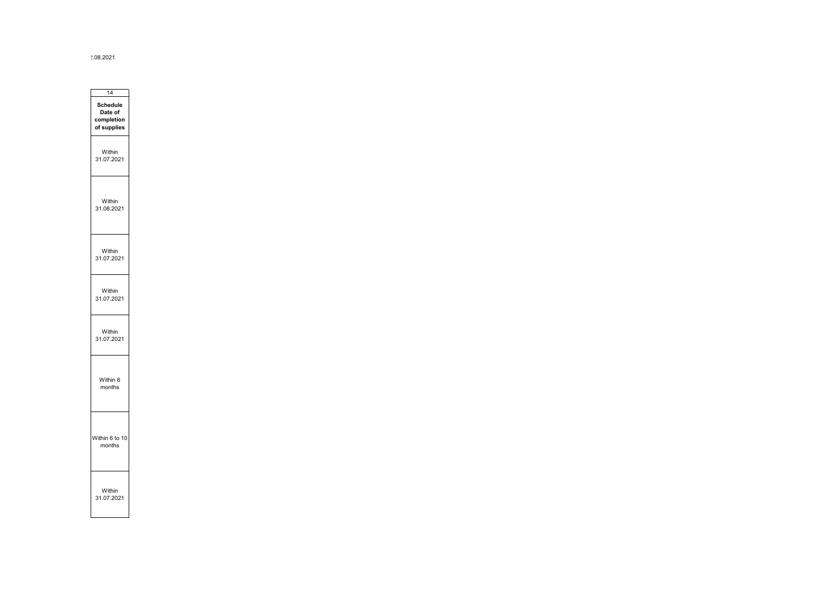2.08.2021

۰

٠.

| 14                                               |  |
|--------------------------------------------------|--|
| Schedule<br>Date of<br>completion<br>of supplies |  |
| Within<br>31.07.2021                             |  |
| Nithin<br>31.08.2021                             |  |
| Within<br>31.07.2021                             |  |
| Within<br>31.07.2021                             |  |
| Within<br>31.07.2021                             |  |
| Within 6<br>months                               |  |
| Within 6 to 10<br>months                         |  |
| Within<br>31.07.2021                             |  |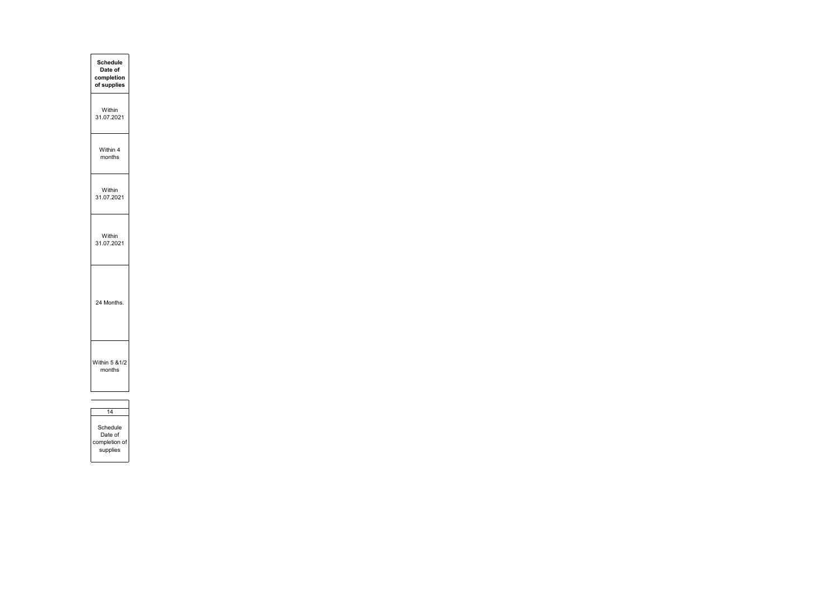| <b>Schedule</b><br>Date of<br>completion<br>of supplies |  |
|---------------------------------------------------------|--|
| Within<br>31.07.2021                                    |  |
| Within 4<br>months                                      |  |
| Within<br>31.07.2021                                    |  |
| Within<br>31.07.2021                                    |  |
| 24 Months.                                              |  |
| Vithin 5 & 1/2<br>months                                |  |
|                                                         |  |

| Schedule      |
|---------------|
| Date of       |
| completion of |
| supplies      |
|               |